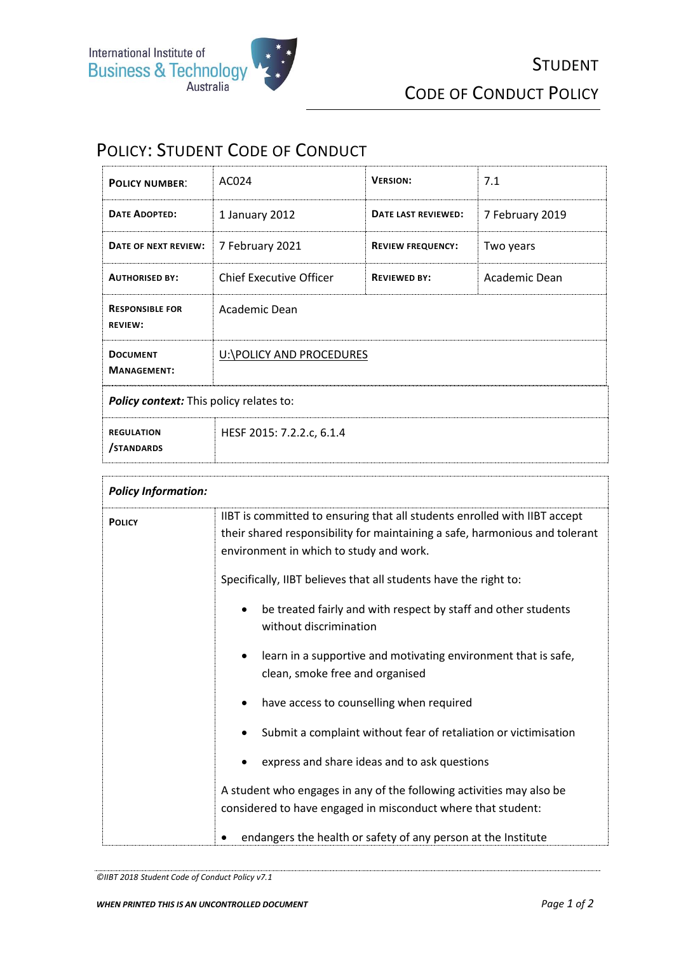

## POLICY: STUDENT CODE OF CONDUCT

| <b>POLICY NUMBER:</b>                          | AC024                          | <b>VERSION:</b>          | 7.1             |
|------------------------------------------------|--------------------------------|--------------------------|-----------------|
| <b>DATE ADOPTED:</b>                           | 1 January 2012                 | DATE LAST REVIEWED:      | 7 February 2019 |
| DATE OF NEXT REVIEW:                           | 7 February 2021                | <b>REVIEW FREQUENCY:</b> | Two years       |
| <b>AUTHORISED BY:</b>                          | <b>Chief Executive Officer</b> | <b>REVIEWED BY:</b>      | Academic Dean   |
| <b>RESPONSIBLE FOR</b><br><b>REVIEW:</b>       | Academic Dean                  |                          |                 |
| <b>DOCUMENT</b><br><b>MANAGEMENT:</b>          | U:\POLICY AND PROCEDURES       |                          |                 |
| <b>Policy context:</b> This policy relates to: |                                |                          |                 |
| <b>REGULATION</b><br>/STANDARDS                | HESF 2015: 7.2.2.c, 6.1.4      |                          |                 |

| <b>Policy Information:</b> |                                                                                                                                                                                                     |  |  |
|----------------------------|-----------------------------------------------------------------------------------------------------------------------------------------------------------------------------------------------------|--|--|
| <b>POLICY</b>              | IIBT is committed to ensuring that all students enrolled with IIBT accept<br>their shared responsibility for maintaining a safe, harmonious and tolerant<br>environment in which to study and work. |  |  |
|                            | Specifically, IIBT believes that all students have the right to:                                                                                                                                    |  |  |
|                            | be treated fairly and with respect by staff and other students<br>without discrimination                                                                                                            |  |  |
|                            | learn in a supportive and motivating environment that is safe,<br>clean, smoke free and organised                                                                                                   |  |  |
|                            | have access to counselling when required                                                                                                                                                            |  |  |
|                            | Submit a complaint without fear of retaliation or victimisation                                                                                                                                     |  |  |
|                            | express and share ideas and to ask questions                                                                                                                                                        |  |  |
|                            | A student who engages in any of the following activities may also be<br>considered to have engaged in misconduct where that student:                                                                |  |  |
|                            | endangers the health or safety of any person at the Institute<br>٠                                                                                                                                  |  |  |

T